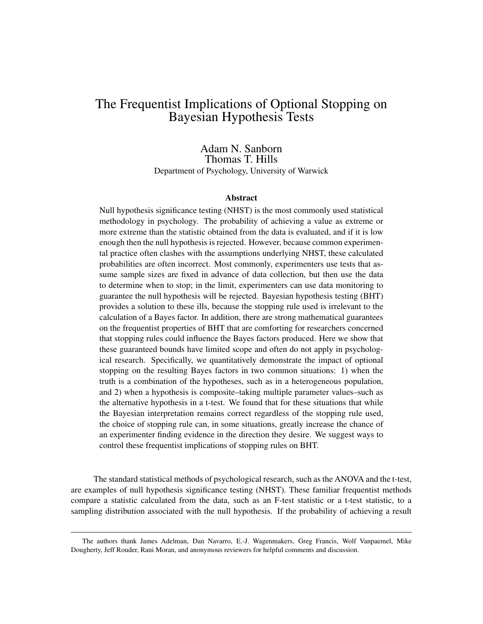# The Frequentist Implications of Optional Stopping on Bayesian Hypothesis Tests

Adam N. Sanborn Thomas T. Hills Department of Psychology, University of Warwick

# Abstract

Null hypothesis significance testing (NHST) is the most commonly used statistical methodology in psychology. The probability of achieving a value as extreme or more extreme than the statistic obtained from the data is evaluated, and if it is low enough then the null hypothesis is rejected. However, because common experimental practice often clashes with the assumptions underlying NHST, these calculated probabilities are often incorrect. Most commonly, experimenters use tests that assume sample sizes are fixed in advance of data collection, but then use the data to determine when to stop; in the limit, experimenters can use data monitoring to guarantee the null hypothesis will be rejected. Bayesian hypothesis testing (BHT) provides a solution to these ills, because the stopping rule used is irrelevant to the calculation of a Bayes factor. In addition, there are strong mathematical guarantees on the frequentist properties of BHT that are comforting for researchers concerned that stopping rules could influence the Bayes factors produced. Here we show that these guaranteed bounds have limited scope and often do not apply in psychological research. Specifically, we quantitatively demonstrate the impact of optional stopping on the resulting Bayes factors in two common situations: 1) when the truth is a combination of the hypotheses, such as in a heterogeneous population, and 2) when a hypothesis is composite–taking multiple parameter values–such as the alternative hypothesis in a t-test. We found that for these situations that while the Bayesian interpretation remains correct regardless of the stopping rule used, the choice of stopping rule can, in some situations, greatly increase the chance of an experimenter finding evidence in the direction they desire. We suggest ways to control these frequentist implications of stopping rules on BHT.

The standard statistical methods of psychological research, such as the ANOVA and the t-test, are examples of null hypothesis significance testing (NHST). These familiar frequentist methods compare a statistic calculated from the data, such as an F-test statistic or a t-test statistic, to a sampling distribution associated with the null hypothesis. If the probability of achieving a result

The authors thank James Adelman, Dan Navarro, E.-J. Wagenmakers, Greg Francis, Wolf Vanpaemel, Mike Dougherty, Jeff Rouder, Rani Moran, and anonymous reviewers for helpful comments and discussion.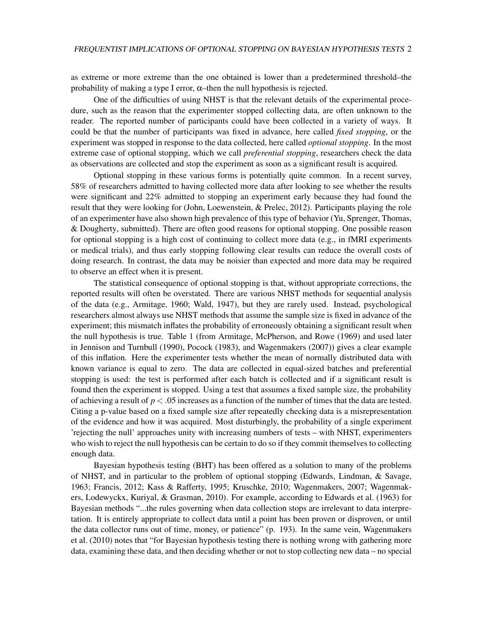as extreme or more extreme than the one obtained is lower than a predetermined threshold–the probability of making a type I error,  $\alpha$ –then the null hypothesis is rejected.

One of the difficulties of using NHST is that the relevant details of the experimental procedure, such as the reason that the experimenter stopped collecting data, are often unknown to the reader. The reported number of participants could have been collected in a variety of ways. It could be that the number of participants was fixed in advance, here called *fixed stopping*, or the experiment was stopped in response to the data collected, here called *optional stopping*. In the most extreme case of optional stopping, which we call *preferential stopping*, researchers check the data as observations are collected and stop the experiment as soon as a significant result is acquired.

Optional stopping in these various forms is potentially quite common. In a recent survey, 58% of researchers admitted to having collected more data after looking to see whether the results were significant and 22% admitted to stopping an experiment early because they had found the result that they were looking for (John, Loewenstein, & Prelec, 2012). Participants playing the role of an experimenter have also shown high prevalence of this type of behavior (Yu, Sprenger, Thomas, & Dougherty, submitted). There are often good reasons for optional stopping. One possible reason for optional stopping is a high cost of continuing to collect more data (e.g., in fMRI experiments or medical trials), and thus early stopping following clear results can reduce the overall costs of doing research. In contrast, the data may be noisier than expected and more data may be required to observe an effect when it is present.

The statistical consequence of optional stopping is that, without appropriate corrections, the reported results will often be overstated. There are various NHST methods for sequential analysis of the data (e.g., Armitage, 1960; Wald, 1947), but they are rarely used. Instead, psychological researchers almost always use NHST methods that assume the sample size is fixed in advance of the experiment; this mismatch inflates the probability of erroneously obtaining a significant result when the null hypothesis is true. Table 1 (from Armitage, McPherson, and Rowe (1969) and used later in Jennison and Turnbull (1990), Pocock (1983), and Wagenmakers (2007)) gives a clear example of this inflation. Here the experimenter tests whether the mean of normally distributed data with known variance is equal to zero. The data are collected in equal-sized batches and preferential stopping is used: the test is performed after each batch is collected and if a significant result is found then the experiment is stopped. Using a test that assumes a fixed sample size, the probability of achieving a result of  $p < .05$  increases as a function of the number of times that the data are tested. Citing a p-value based on a fixed sample size after repeatedly checking data is a misrepresentation of the evidence and how it was acquired. Most disturbingly, the probability of a single experiment 'rejecting the null' approaches unity with increasing numbers of tests – with NHST, experimenters who wish to reject the null hypothesis can be certain to do so if they commit themselves to collecting enough data.

Bayesian hypothesis testing (BHT) has been offered as a solution to many of the problems of NHST, and in particular to the problem of optional stopping (Edwards, Lindman, & Savage, 1963; Francis, 2012; Kass & Rafferty, 1995; Kruschke, 2010; Wagenmakers, 2007; Wagenmakers, Lodewyckx, Kuriyal, & Grasman, 2010). For example, according to Edwards et al. (1963) for Bayesian methods "...the rules governing when data collection stops are irrelevant to data interpretation. It is entirely appropriate to collect data until a point has been proven or disproven, or until the data collector runs out of time, money, or patience" (p. 193). In the same vein, Wagenmakers et al. (2010) notes that "for Bayesian hypothesis testing there is nothing wrong with gathering more data, examining these data, and then deciding whether or not to stop collecting new data – no special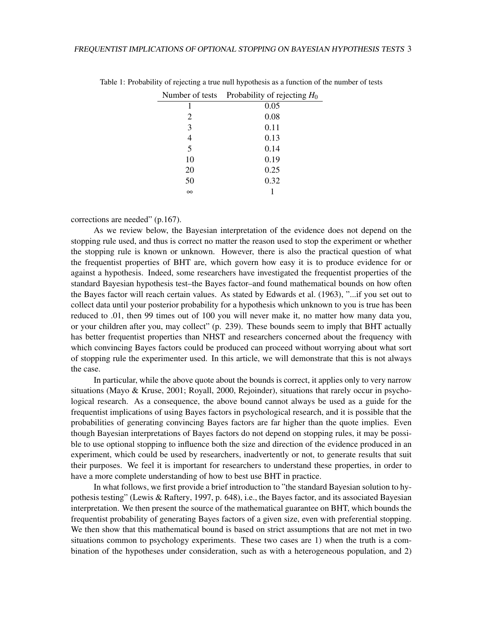|          | Number of tests Probability of rejecting $H_0$ |
|----------|------------------------------------------------|
|          | 0.05                                           |
| 2        | 0.08                                           |
| 3        | 0.11                                           |
| 4        | 0.13                                           |
| 5        | 0.14                                           |
| 10       | 0.19                                           |
| 20       | 0.25                                           |
| 50       | 0.32                                           |
| $\infty$ |                                                |
|          |                                                |

Table 1: Probability of rejecting a true null hypothesis as a function of the number of tests

corrections are needed" (p.167).

As we review below, the Bayesian interpretation of the evidence does not depend on the stopping rule used, and thus is correct no matter the reason used to stop the experiment or whether the stopping rule is known or unknown. However, there is also the practical question of what the frequentist properties of BHT are, which govern how easy it is to produce evidence for or against a hypothesis. Indeed, some researchers have investigated the frequentist properties of the standard Bayesian hypothesis test–the Bayes factor–and found mathematical bounds on how often the Bayes factor will reach certain values. As stated by Edwards et al. (1963), "...if you set out to collect data until your posterior probability for a hypothesis which unknown to you is true has been reduced to .01, then 99 times out of 100 you will never make it, no matter how many data you, or your children after you, may collect" (p. 239). These bounds seem to imply that BHT actually has better frequentist properties than NHST and researchers concerned about the frequency with which convincing Bayes factors could be produced can proceed without worrying about what sort of stopping rule the experimenter used. In this article, we will demonstrate that this is not always the case.

In particular, while the above quote about the bounds is correct, it applies only to very narrow situations (Mayo  $\&$  Kruse, 2001; Royall, 2000, Rejoinder), situations that rarely occur in psychological research. As a consequence, the above bound cannot always be used as a guide for the frequentist implications of using Bayes factors in psychological research, and it is possible that the probabilities of generating convincing Bayes factors are far higher than the quote implies. Even though Bayesian interpretations of Bayes factors do not depend on stopping rules, it may be possible to use optional stopping to influence both the size and direction of the evidence produced in an experiment, which could be used by researchers, inadvertently or not, to generate results that suit their purposes. We feel it is important for researchers to understand these properties, in order to have a more complete understanding of how to best use BHT in practice.

In what follows, we first provide a brief introduction to "the standard Bayesian solution to hypothesis testing" (Lewis & Raftery, 1997, p. 648), i.e., the Bayes factor, and its associated Bayesian interpretation. We then present the source of the mathematical guarantee on BHT, which bounds the frequentist probability of generating Bayes factors of a given size, even with preferential stopping. We then show that this mathematical bound is based on strict assumptions that are not met in two situations common to psychology experiments. These two cases are 1) when the truth is a combination of the hypotheses under consideration, such as with a heterogeneous population, and 2)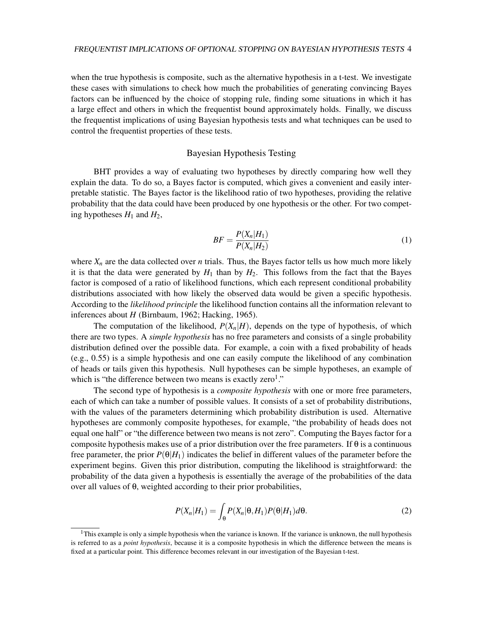when the true hypothesis is composite, such as the alternative hypothesis in a t-test. We investigate these cases with simulations to check how much the probabilities of generating convincing Bayes factors can be influenced by the choice of stopping rule, finding some situations in which it has a large effect and others in which the frequentist bound approximately holds. Finally, we discuss the frequentist implications of using Bayesian hypothesis tests and what techniques can be used to control the frequentist properties of these tests.

# Bayesian Hypothesis Testing

BHT provides a way of evaluating two hypotheses by directly comparing how well they explain the data. To do so, a Bayes factor is computed, which gives a convenient and easily interpretable statistic. The Bayes factor is the likelihood ratio of two hypotheses, providing the relative probability that the data could have been produced by one hypothesis or the other. For two competing hypotheses  $H_1$  and  $H_2$ ,

$$
BF = \frac{P(X_n|H_1)}{P(X_n|H_2)}\tag{1}
$$

where  $X_n$  are the data collected over *n* trials. Thus, the Bayes factor tells us how much more likely it is that the data were generated by  $H_1$  than by  $H_2$ . This follows from the fact that the Bayes factor is composed of a ratio of likelihood functions, which each represent conditional probability distributions associated with how likely the observed data would be given a specific hypothesis. According to the *likelihood principle* the likelihood function contains all the information relevant to inferences about *H* (Birnbaum, 1962; Hacking, 1965).

The computation of the likelihood,  $P(X_n|H)$ , depends on the type of hypothesis, of which there are two types. A *simple hypothesis* has no free parameters and consists of a single probability distribution defined over the possible data. For example, a coin with a fixed probability of heads (e.g., 0.55) is a simple hypothesis and one can easily compute the likelihood of any combination of heads or tails given this hypothesis. Null hypotheses can be simple hypotheses, an example of which is "the difference between two means is exactly zero<sup>1</sup>."

The second type of hypothesis is a *composite hypothesis* with one or more free parameters, each of which can take a number of possible values. It consists of a set of probability distributions, with the values of the parameters determining which probability distribution is used. Alternative hypotheses are commonly composite hypotheses, for example, "the probability of heads does not equal one half" or "the difference between two means is not zero". Computing the Bayes factor for a composite hypothesis makes use of a prior distribution over the free parameters. If  $\theta$  is a continuous free parameter, the prior  $P(\theta|H_1)$  indicates the belief in different values of the parameter before the experiment begins. Given this prior distribution, computing the likelihood is straightforward: the probability of the data given a hypothesis is essentially the average of the probabilities of the data over all values of θ, weighted according to their prior probabilities,

$$
P(X_n|H_1) = \int_{\Theta} P(X_n|\Theta, H_1) P(\Theta|H_1) d\Theta.
$$
 (2)

<sup>&</sup>lt;sup>1</sup>This example is only a simple hypothesis when the variance is known. If the variance is unknown, the null hypothesis is referred to as a *point hypothesis*, because it is a composite hypothesis in which the difference between the means is fixed at a particular point. This difference becomes relevant in our investigation of the Bayesian t-test.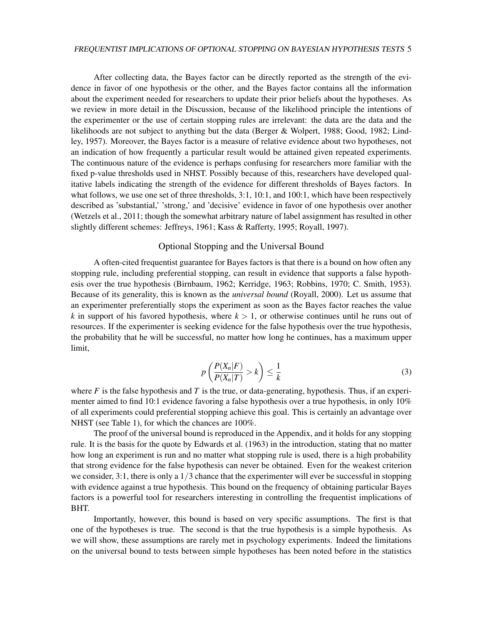After collecting data, the Bayes factor can be directly reported as the strength of the evidence in favor of one hypothesis or the other, and the Bayes factor contains all the information about the experiment needed for researchers to update their prior beliefs about the hypotheses. As we review in more detail in the Discussion, because of the likelihood principle the intentions of the experimenter or the use of certain stopping rules are irrelevant: the data are the data and the likelihoods are not subject to anything but the data (Berger & Wolpert, 1988; Good, 1982; Lindley, 1957). Moreover, the Bayes factor is a measure of relative evidence about two hypotheses, not an indication of how frequently a particular result would be attained given repeated experiments. The continuous nature of the evidence is perhaps confusing for researchers more familiar with the fixed p-value thresholds used in NHST. Possibly because of this, researchers have developed qualitative labels indicating the strength of the evidence for different thresholds of Bayes factors. In what follows, we use one set of three thresholds, 3:1, 10:1, and 100:1, which have been respectively described as 'substantial,' 'strong,' and 'decisive' evidence in favor of one hypothesis over another (Wetzels et al., 2011; though the somewhat arbitrary nature of label assignment has resulted in other slightly different schemes: Jeffreys, 1961; Kass & Rafferty, 1995; Royall, 1997).

# Optional Stopping and the Universal Bound

A often-cited frequentist guarantee for Bayes factors is that there is a bound on how often any stopping rule, including preferential stopping, can result in evidence that supports a false hypothesis over the true hypothesis (Birnbaum, 1962; Kerridge, 1963; Robbins, 1970; C. Smith, 1953). Because of its generality, this is known as the *universal bound* (Royall, 2000). Let us assume that an experimenter preferentially stops the experiment as soon as the Bayes factor reaches the value *k* in support of his favored hypothesis, where  $k > 1$ , or otherwise continues until he runs out of resources. If the experimenter is seeking evidence for the false hypothesis over the true hypothesis, the probability that he will be successful, no matter how long he continues, has a maximum upper limit,

$$
p\left(\frac{P(X_n|F)}{P(X_n|T)} > k\right) \le \frac{1}{k} \tag{3}
$$

where  $F$  is the false hypothesis and  $T$  is the true, or data-generating, hypothesis. Thus, if an experimenter aimed to find 10:1 evidence favoring a false hypothesis over a true hypothesis, in only 10% of all experiments could preferential stopping achieve this goal. This is certainly an advantage over NHST (see Table 1), for which the chances are  $100\%$ .

The proof of the universal bound is reproduced in the Appendix, and it holds for any stopping rule. It is the basis for the quote by Edwards et al. (1963) in the introduction, stating that no matter how long an experiment is run and no matter what stopping rule is used, there is a high probability that strong evidence for the false hypothesis can never be obtained. Even for the weakest criterion we consider,  $3:1$ , there is only a  $1/3$  chance that the experimenter will ever be successful in stopping with evidence against a true hypothesis. This bound on the frequency of obtaining particular Bayes factors is a powerful tool for researchers interesting in controlling the frequentist implications of BHT.

Importantly, however, this bound is based on very specific assumptions. The first is that one of the hypotheses is true. The second is that the true hypothesis is a simple hypothesis. As we will show, these assumptions are rarely met in psychology experiments. Indeed the limitations on the universal bound to tests between simple hypotheses has been noted before in the statistics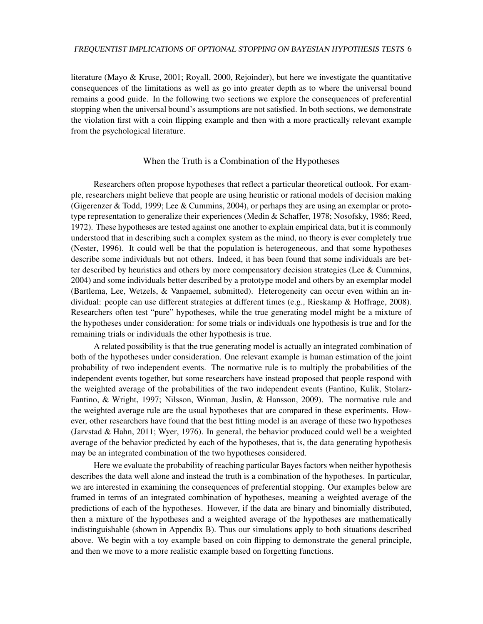literature (Mayo & Kruse, 2001; Royall, 2000, Rejoinder), but here we investigate the quantitative consequences of the limitations as well as go into greater depth as to where the universal bound remains a good guide. In the following two sections we explore the consequences of preferential stopping when the universal bound's assumptions are not satisfied. In both sections, we demonstrate the violation first with a coin flipping example and then with a more practically relevant example from the psychological literature.

# When the Truth is a Combination of the Hypotheses

Researchers often propose hypotheses that reflect a particular theoretical outlook. For example, researchers might believe that people are using heuristic or rational models of decision making (Gigerenzer & Todd, 1999; Lee & Cummins, 2004), or perhaps they are using an exemplar or prototype representation to generalize their experiences (Medin & Schaffer, 1978; Nosofsky, 1986; Reed, 1972). These hypotheses are tested against one another to explain empirical data, but it is commonly understood that in describing such a complex system as the mind, no theory is ever completely true (Nester, 1996). It could well be that the population is heterogeneous, and that some hypotheses describe some individuals but not others. Indeed, it has been found that some individuals are better described by heuristics and others by more compensatory decision strategies (Lee  $&$  Cummins, 2004) and some individuals better described by a prototype model and others by an exemplar model (Bartlema, Lee, Wetzels, & Vanpaemel, submitted). Heterogeneity can occur even within an individual: people can use different strategies at different times (e.g., Rieskamp & Hoffrage, 2008). Researchers often test "pure" hypotheses, while the true generating model might be a mixture of the hypotheses under consideration: for some trials or individuals one hypothesis is true and for the remaining trials or individuals the other hypothesis is true.

A related possibility is that the true generating model is actually an integrated combination of both of the hypotheses under consideration. One relevant example is human estimation of the joint probability of two independent events. The normative rule is to multiply the probabilities of the independent events together, but some researchers have instead proposed that people respond with the weighted average of the probabilities of the two independent events (Fantino, Kulik, Stolarz-Fantino, & Wright, 1997; Nilsson, Winman, Juslin, & Hansson, 2009). The normative rule and the weighted average rule are the usual hypotheses that are compared in these experiments. However, other researchers have found that the best fitting model is an average of these two hypotheses (Jarvstad & Hahn, 2011; Wyer, 1976). In general, the behavior produced could well be a weighted average of the behavior predicted by each of the hypotheses, that is, the data generating hypothesis may be an integrated combination of the two hypotheses considered.

Here we evaluate the probability of reaching particular Bayes factors when neither hypothesis describes the data well alone and instead the truth is a combination of the hypotheses. In particular, we are interested in examining the consequences of preferential stopping. Our examples below are framed in terms of an integrated combination of hypotheses, meaning a weighted average of the predictions of each of the hypotheses. However, if the data are binary and binomially distributed, then a mixture of the hypotheses and a weighted average of the hypotheses are mathematically indistinguishable (shown in Appendix B). Thus our simulations apply to both situations described above. We begin with a toy example based on coin flipping to demonstrate the general principle, and then we move to a more realistic example based on forgetting functions.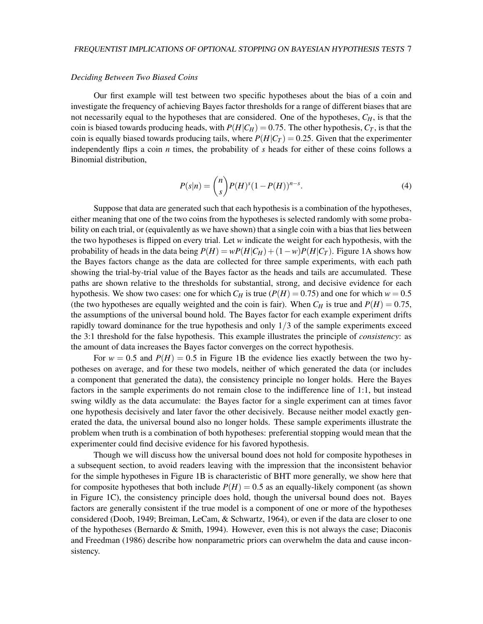# *Deciding Between Two Biased Coins*

Our first example will test between two specific hypotheses about the bias of a coin and investigate the frequency of achieving Bayes factor thresholds for a range of different biases that are not necessarily equal to the hypotheses that are considered. One of the hypotheses, *CH*, is that the coin is biased towards producing heads, with  $P(H|C_H) = 0.75$ . The other hypothesis,  $C_T$ , is that the coin is equally biased towards producing tails, where  $P(H|C_T) = 0.25$ . Given that the experimenter independently flips a coin *n* times, the probability of *s* heads for either of these coins follows a Binomial distribution,

$$
P(s|n) = \binom{n}{s} P(H)^s (1 - P(H))^{n-s}.
$$
 (4)

Suppose that data are generated such that each hypothesis is a combination of the hypotheses, either meaning that one of the two coins from the hypotheses is selected randomly with some probability on each trial, or (equivalently as we have shown) that a single coin with a bias that lies between the two hypotheses is flipped on every trial. Let *w* indicate the weight for each hypothesis, with the probability of heads in the data being  $P(H) = wP(H|C_H) + (1 - w)P(H|C_T)$ . Figure 1A shows how the Bayes factors change as the data are collected for three sample experiments, with each path showing the trial-by-trial value of the Bayes factor as the heads and tails are accumulated. These paths are shown relative to the thresholds for substantial, strong, and decisive evidence for each hypothesis. We show two cases: one for which  $C_H$  is true ( $P(H) = 0.75$ ) and one for which  $w = 0.5$ (the two hypotheses are equally weighted and the coin is fair). When  $C_H$  is true and  $P(H) = 0.75$ , the assumptions of the universal bound hold. The Bayes factor for each example experiment drifts rapidly toward dominance for the true hypothesis and only  $1/3$  of the sample experiments exceed the 3:1 threshold for the false hypothesis. This example illustrates the principle of *consistency*: as the amount of data increases the Bayes factor converges on the correct hypothesis.

For  $w = 0.5$  and  $P(H) = 0.5$  in Figure 1B the evidence lies exactly between the two hypotheses on average, and for these two models, neither of which generated the data (or includes a component that generated the data), the consistency principle no longer holds. Here the Bayes factors in the sample experiments do not remain close to the indifference line of 1:1, but instead swing wildly as the data accumulate: the Bayes factor for a single experiment can at times favor one hypothesis decisively and later favor the other decisively. Because neither model exactly generated the data, the universal bound also no longer holds. These sample experiments illustrate the problem when truth is a combination of both hypotheses: preferential stopping would mean that the experimenter could find decisive evidence for his favored hypothesis.

Though we will discuss how the universal bound does not hold for composite hypotheses in a subsequent section, to avoid readers leaving with the impression that the inconsistent behavior for the simple hypotheses in Figure 1B is characteristic of BHT more generally, we show here that for composite hypotheses that both include  $P(H) = 0.5$  as an equally-likely component (as shown in Figure 1C), the consistency principle does hold, though the universal bound does not. Bayes factors are generally consistent if the true model is a component of one or more of the hypotheses considered (Doob, 1949; Breiman, LeCam, & Schwartz, 1964), or even if the data are closer to one of the hypotheses (Bernardo  $\&$  Smith, 1994). However, even this is not always the case; Diaconis and Freedman (1986) describe how nonparametric priors can overwhelm the data and cause inconsistency.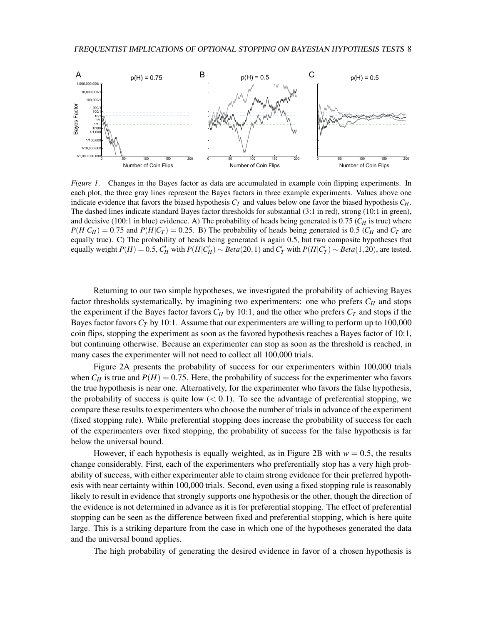

*Figure 1.* Changes in the Bayes factor as data are accumulated in example coin flipping experiments. In each plot, the three gray lines represent the Bayes factors in three example experiments. Values above one indicate evidence that favors the biased hypothesis  $C_T$  and values below one favor the biased hypothesis  $C_H$ . The dashed lines indicate standard Bayes factor thresholds for substantial (3:1 in red), strong (10:1 in green), and decisive (100:1 in blue) evidence. A) The probability of heads being generated is 0.75 (*C<sup>H</sup>* is true) where  $P(H|C_H) = 0.75$  and  $P(H|C_T) = 0.25$ . B) The probability of heads being generated is 0.5 ( $C_H$  and  $C_T$  are equally true). C) The probability of heads being generated is again 0.5, but two composite hypotheses that equally weight  $P(H) = 0.5$ ,  $C'_H$  with  $P(H|C'_H) \sim Beta(20, 1)$  and  $C'_T$  with  $P(H|C'_T) \sim Beta(1, 20)$ , are tested.

Returning to our two simple hypotheses, we investigated the probability of achieving Bayes factor thresholds systematically, by imagining two experimenters: one who prefers *C<sup>H</sup>* and stops the experiment if the Bayes factor favors  $C_H$  by 10:1, and the other who prefers  $C_T$  and stops if the Bayes factor favors*C<sup>T</sup>* by 10:1. Assume that our experimenters are willing to perform up to 100,000 coin flips, stopping the experiment as soon as the favored hypothesis reaches a Bayes factor of 10:1, but continuing otherwise. Because an experimenter can stop as soon as the threshold is reached, in many cases the experimenter will not need to collect all 100,000 trials.

Figure 2A presents the probability of success for our experimenters within 100,000 trials when  $C_H$  is true and  $P(H) = 0.75$ . Here, the probability of success for the experimenter who favors the true hypothesis is near one. Alternatively, for the experimenter who favors the false hypothesis, the probability of success is quite low  $(< 0.1$ ). To see the advantage of preferential stopping, we compare these results to experimenters who choose the number of trials in advance of the experiment (fixed stopping rule). While preferential stopping does increase the probability of success for each of the experimenters over fixed stopping, the probability of success for the false hypothesis is far below the universal bound.

However, if each hypothesis is equally weighted, as in Figure 2B with  $w = 0.5$ , the results change considerably. First, each of the experimenters who preferentially stop has a very high probability of success, with either experimenter able to claim strong evidence for their preferred hypothesis with near certainty within 100,000 trials. Second, even using a fixed stopping rule is reasonably likely to result in evidence that strongly supports one hypothesis or the other, though the direction of the evidence is not determined in advance as it is for preferential stopping. The effect of preferential stopping can be seen as the difference between fixed and preferential stopping, which is here quite large. This is a striking departure from the case in which one of the hypotheses generated the data and the universal bound applies.

The high probability of generating the desired evidence in favor of a chosen hypothesis is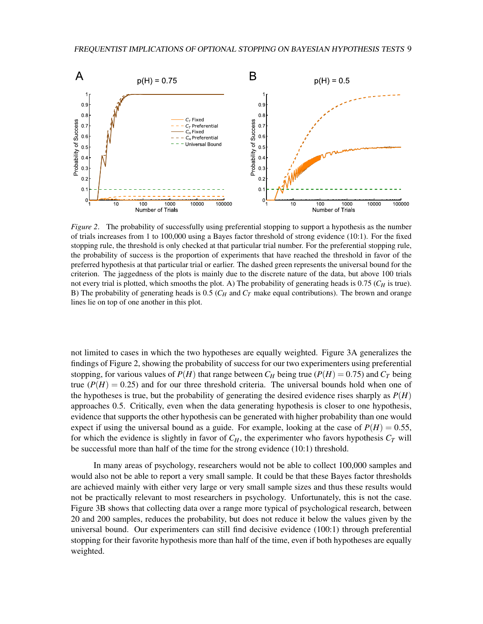

*Figure 2.* The probability of successfully using preferential stopping to support a hypothesis as the number of trials increases from 1 to 100,000 using a Bayes factor threshold of strong evidence (10:1). For the fixed stopping rule, the threshold is only checked at that particular trial number. For the preferential stopping rule, the probability of success is the proportion of experiments that have reached the threshold in favor of the preferred hypothesis at that particular trial or earlier. The dashed green represents the universal bound for the criterion. The jaggedness of the plots is mainly due to the discrete nature of the data, but above 100 trials not every trial is plotted, which smooths the plot. A) The probability of generating heads is  $0.75$  ( $C_H$  is true). B) The probability of generating heads is 0.5 (*C<sup>H</sup>* and *C<sup>T</sup>* make equal contributions). The brown and orange lines lie on top of one another in this plot.

not limited to cases in which the two hypotheses are equally weighted. Figure 3A generalizes the findings of Figure 2, showing the probability of success for our two experimenters using preferential stopping, for various values of  $P(H)$  that range between  $C_H$  being true ( $P(H) = 0.75$ ) and  $C_T$  being true  $(P(H) = 0.25)$  and for our three threshold criteria. The universal bounds hold when one of the hypotheses is true, but the probability of generating the desired evidence rises sharply as  $P(H)$ approaches 0.5. Critically, even when the data generating hypothesis is closer to one hypothesis, evidence that supports the other hypothesis can be generated with higher probability than one would expect if using the universal bound as a guide. For example, looking at the case of  $P(H) = 0.55$ , for which the evidence is slightly in favor of  $C_H$ , the experimenter who favors hypothesis  $C_T$  will be successful more than half of the time for the strong evidence (10:1) threshold.

In many areas of psychology, researchers would not be able to collect 100,000 samples and would also not be able to report a very small sample. It could be that these Bayes factor thresholds are achieved mainly with either very large or very small sample sizes and thus these results would not be practically relevant to most researchers in psychology. Unfortunately, this is not the case. Figure 3B shows that collecting data over a range more typical of psychological research, between 20 and 200 samples, reduces the probability, but does not reduce it below the values given by the universal bound. Our experimenters can still find decisive evidence (100:1) through preferential stopping for their favorite hypothesis more than half of the time, even if both hypotheses are equally weighted.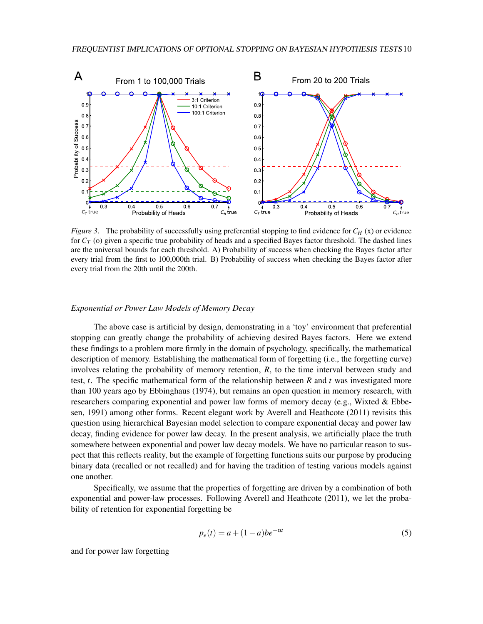

*Figure 3.* The probability of successfully using preferential stopping to find evidence for  $C_H$  (x) or evidence for  $C_T$  (o) given a specific true probability of heads and a specified Bayes factor threshold. The dashed lines are the universal bounds for each threshold. A) Probability of success when checking the Bayes factor after every trial from the first to 100,000th trial. B) Probability of success when checking the Bayes factor after every trial from the 20th until the 200th.

### *Exponential or Power Law Models of Memory Decay*

The above case is artificial by design, demonstrating in a 'toy' environment that preferential stopping can greatly change the probability of achieving desired Bayes factors. Here we extend these findings to a problem more firmly in the domain of psychology, specifically, the mathematical description of memory. Establishing the mathematical form of forgetting (i.e., the forgetting curve) involves relating the probability of memory retention, *R*, to the time interval between study and test, *t*. The specific mathematical form of the relationship between *R* and *t* was investigated more than 100 years ago by Ebbinghaus (1974), but remains an open question in memory research, with researchers comparing exponential and power law forms of memory decay (e.g., Wixted & Ebbesen, 1991) among other forms. Recent elegant work by Averell and Heathcote (2011) revisits this question using hierarchical Bayesian model selection to compare exponential decay and power law decay, finding evidence for power law decay. In the present analysis, we artificially place the truth somewhere between exponential and power law decay models. We have no particular reason to suspect that this reflects reality, but the example of forgetting functions suits our purpose by producing binary data (recalled or not recalled) and for having the tradition of testing various models against one another.

Specifically, we assume that the properties of forgetting are driven by a combination of both exponential and power-law processes. Following Averell and Heathcote (2011), we let the probability of retention for exponential forgetting be

$$
p_e(t) = a + (1 - a)be^{-\alpha t}
$$
 (5)

and for power law forgetting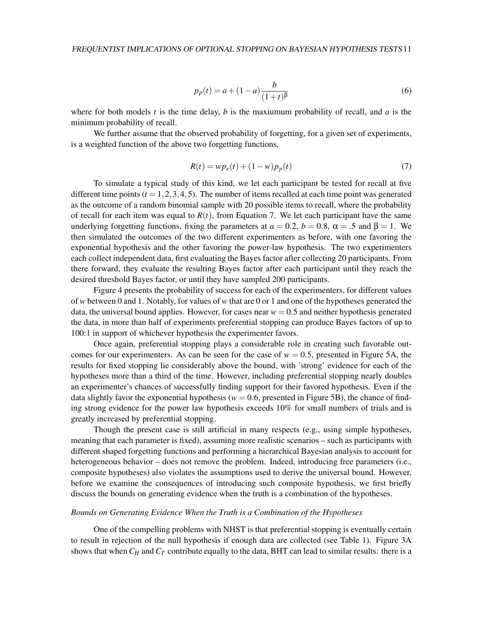$$
p_p(t) = a + (1 - a) \frac{b}{(1+t)^{\beta}}
$$
\n(6)

where for both models  $t$  is the time delay,  $b$  is the maxiumum probability of recall, and  $a$  is the minimum probability of recall.

We further assume that the observed probability of forgetting, for a given set of experiments, is a weighted function of the above two forgetting functions,

$$
R(t) = wp_e(t) + (1 - w)p_p(t)
$$
\n(7)

To simulate a typical study of this kind, we let each participant be tested for recall at five different time points  $(t = 1, 2, 3, 4, 5)$ . The number of items recalled at each time point was generated as the outcome of a random binomial sample with 20 possible items to recall, where the probability of recall for each item was equal to  $R(t)$ , from Equation 7. We let each participant have the same underlying forgetting functions, fixing the parameters at  $a = 0.2$ ,  $b = 0.8$ ,  $\alpha = .5$  and  $\beta = 1$ . We then simulated the outcomes of the two different experimenters as before, with one favoring the exponential hypothesis and the other favoring the power-law hypothesis. The two experimenters each collect independent data, first evaluating the Bayes factor after collecting 20 participants. From there forward, they evaluate the resulting Bayes factor after each participant until they reach the desired threshold Bayes factor, or until they have sampled 200 participants.

Figure 4 presents the probability of success for each of the experimenters, for different values of *w* between 0 and 1. Notably, for values of *w* that are 0 or 1 and one of the hypotheses generated the data, the universal bound applies. However, for cases near  $w = 0.5$  and neither hypothesis generated the data, in more than half of experiments preferential stopping can produce Bayes factors of up to 100:1 in support of whichever hypothesis the experimenter favors.

Once again, preferential stopping plays a considerable role in creating such favorable outcomes for our experimenters. As can be seen for the case of  $w = 0.5$ , presented in Figure 5A, the results for fixed stopping lie considerably above the bound, with 'strong' evidence for each of the hypotheses more than a third of the time. However, including preferential stopping nearly doubles an experimenter's chances of successfully finding support for their favored hypothesis. Even if the data slightly favor the exponential hypothesis ( $w = 0.6$ , presented in Figure 5B), the chance of finding strong evidence for the power law hypothesis exceeds 10% for small numbers of trials and is greatly increased by preferential stopping.

Though the present case is still artificial in many respects (e.g., using simple hypotheses, meaning that each parameter is fixed), assuming more realistic scenarios – such as participants with different shaped forgetting functions and performing a hierarchical Bayesian analysis to account for heterogeneous behavior – does not remove the problem. Indeed, introducing free parameters (i.e., composite hypotheses) also violates the assumptions used to derive the universal bound. However, before we examine the consequences of introducing such composite hypothesis, we first briefly discuss the bounds on generating evidence when the truth is a combination of the hypotheses.

### *Bounds on Generating Evidence When the Truth is a Combination of the Hypotheses*

One of the compelling problems with NHST is that preferential stopping is eventually certain to result in rejection of the null hypothesis if enough data are collected (see Table 1). Figure 3A shows that when  $C_H$  and  $C_T$  contribute equally to the data, BHT can lead to similar results: there is a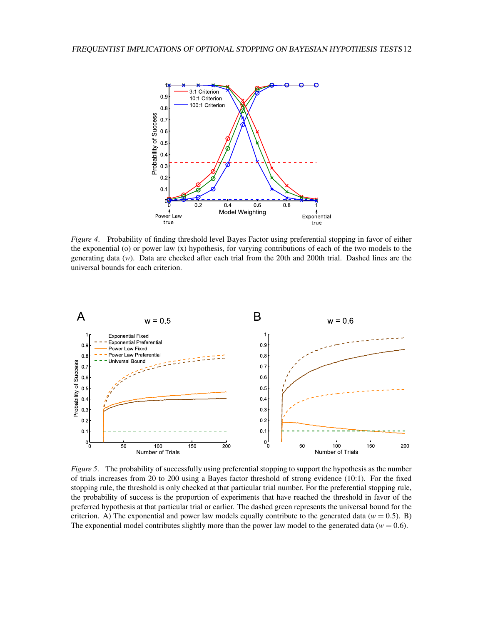

*Figure 4*. Probability of finding threshold level Bayes Factor using preferential stopping in favor of either the exponential (o) or power law (x) hypothesis, for varying contributions of each of the two models to the generating data (*w*). Data are checked after each trial from the 20th and 200th trial. Dashed lines are the universal bounds for each criterion.



*Figure 5*. The probability of successfully using preferential stopping to support the hypothesis as the number of trials increases from 20 to 200 using a Bayes factor threshold of strong evidence (10:1). For the fixed stopping rule, the threshold is only checked at that particular trial number. For the preferential stopping rule, the probability of success is the proportion of experiments that have reached the threshold in favor of the preferred hypothesis at that particular trial or earlier. The dashed green represents the universal bound for the criterion. A) The exponential and power law models equally contribute to the generated data ( $w = 0.5$ ). B) The exponential model contributes slightly more than the power law model to the generated data ( $w = 0.6$ ).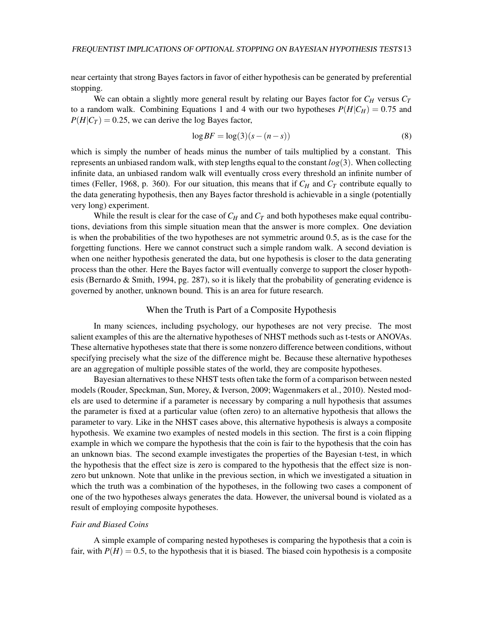near certainty that strong Bayes factors in favor of either hypothesis can be generated by preferential stopping.

We can obtain a slightly more general result by relating our Bayes factor for  $C_H$  versus  $C_T$ to a random walk. Combining Equations 1 and 4 with our two hypotheses  $P(H|C_H) = 0.75$  and  $P(H|C_T) = 0.25$ , we can derive the log Bayes factor,

$$
\log BF = \log(3)(s - (n - s))\tag{8}
$$

which is simply the number of heads minus the number of tails multiplied by a constant. This represents an unbiased random walk, with step lengths equal to the constant  $log(3)$ . When collecting infinite data, an unbiased random walk will eventually cross every threshold an infinite number of times (Feller, 1968, p. 360). For our situation, this means that if  $C_H$  and  $C_T$  contribute equally to the data generating hypothesis, then any Bayes factor threshold is achievable in a single (potentially very long) experiment.

While the result is clear for the case of  $C_H$  and  $C_T$  and both hypotheses make equal contributions, deviations from this simple situation mean that the answer is more complex. One deviation is when the probabilities of the two hypotheses are not symmetric around 0.5, as is the case for the forgetting functions. Here we cannot construct such a simple random walk. A second deviation is when one neither hypothesis generated the data, but one hypothesis is closer to the data generating process than the other. Here the Bayes factor will eventually converge to support the closer hypothesis (Bernardo & Smith, 1994, pg. 287), so it is likely that the probability of generating evidence is governed by another, unknown bound. This is an area for future research.

# When the Truth is Part of a Composite Hypothesis

In many sciences, including psychology, our hypotheses are not very precise. The most salient examples of this are the alternative hypotheses of NHST methods such as t-tests or ANOVAs. These alternative hypotheses state that there is some nonzero difference between conditions, without specifying precisely what the size of the difference might be. Because these alternative hypotheses are an aggregation of multiple possible states of the world, they are composite hypotheses.

Bayesian alternatives to these NHST tests often take the form of a comparison between nested models (Rouder, Speckman, Sun, Morey, & Iverson, 2009; Wagenmakers et al., 2010). Nested models are used to determine if a parameter is necessary by comparing a null hypothesis that assumes the parameter is fixed at a particular value (often zero) to an alternative hypothesis that allows the parameter to vary. Like in the NHST cases above, this alternative hypothesis is always a composite hypothesis. We examine two examples of nested models in this section. The first is a coin flipping example in which we compare the hypothesis that the coin is fair to the hypothesis that the coin has an unknown bias. The second example investigates the properties of the Bayesian t-test, in which the hypothesis that the effect size is zero is compared to the hypothesis that the effect size is nonzero but unknown. Note that unlike in the previous section, in which we investigated a situation in which the truth was a combination of the hypotheses, in the following two cases a component of one of the two hypotheses always generates the data. However, the universal bound is violated as a result of employing composite hypotheses.

### *Fair and Biased Coins*

A simple example of comparing nested hypotheses is comparing the hypothesis that a coin is fair, with  $P(H) = 0.5$ , to the hypothesis that it is biased. The biased coin hypothesis is a composite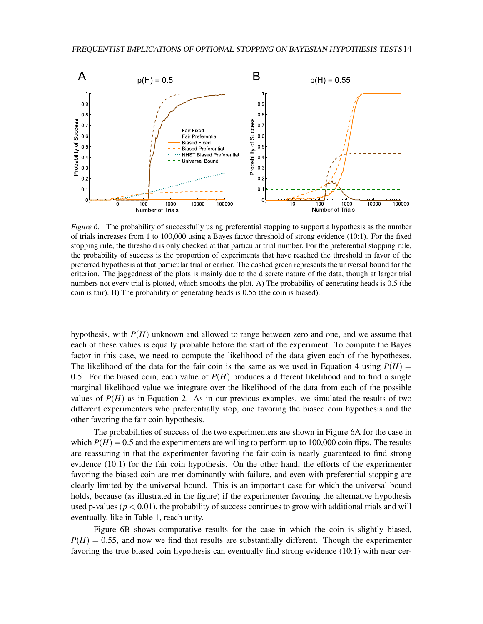

*Figure 6.* The probability of successfully using preferential stopping to support a hypothesis as the number of trials increases from 1 to 100,000 using a Bayes factor threshold of strong evidence (10:1). For the fixed stopping rule, the threshold is only checked at that particular trial number. For the preferential stopping rule, the probability of success is the proportion of experiments that have reached the threshold in favor of the preferred hypothesis at that particular trial or earlier. The dashed green represents the universal bound for the criterion. The jaggedness of the plots is mainly due to the discrete nature of the data, though at larger trial numbers not every trial is plotted, which smooths the plot. A) The probability of generating heads is 0.5 (the coin is fair). B) The probability of generating heads is 0.55 (the coin is biased).

hypothesis, with *P*(*H*) unknown and allowed to range between zero and one, and we assume that each of these values is equally probable before the start of the experiment. To compute the Bayes factor in this case, we need to compute the likelihood of the data given each of the hypotheses. The likelihood of the data for the fair coin is the same as we used in Equation 4 using  $P(H)$  = 0.5. For the biased coin, each value of  $P(H)$  produces a different likelihood and to find a single marginal likelihood value we integrate over the likelihood of the data from each of the possible values of  $P(H)$  as in Equation 2. As in our previous examples, we simulated the results of two different experimenters who preferentially stop, one favoring the biased coin hypothesis and the other favoring the fair coin hypothesis.

The probabilities of success of the two experimenters are shown in Figure 6A for the case in which  $P(H) = 0.5$  and the experimenters are willing to perform up to 100,000 coin flips. The results are reassuring in that the experimenter favoring the fair coin is nearly guaranteed to find strong evidence (10:1) for the fair coin hypothesis. On the other hand, the efforts of the experimenter favoring the biased coin are met dominantly with failure, and even with preferential stopping are clearly limited by the universal bound. This is an important case for which the universal bound holds, because (as illustrated in the figure) if the experimenter favoring the alternative hypothesis used p-values ( $p < 0.01$ ), the probability of success continues to grow with additional trials and will eventually, like in Table 1, reach unity.

Figure 6B shows comparative results for the case in which the coin is slightly biased,  $P(H) = 0.55$ , and now we find that results are substantially different. Though the experimenter favoring the true biased coin hypothesis can eventually find strong evidence (10:1) with near cer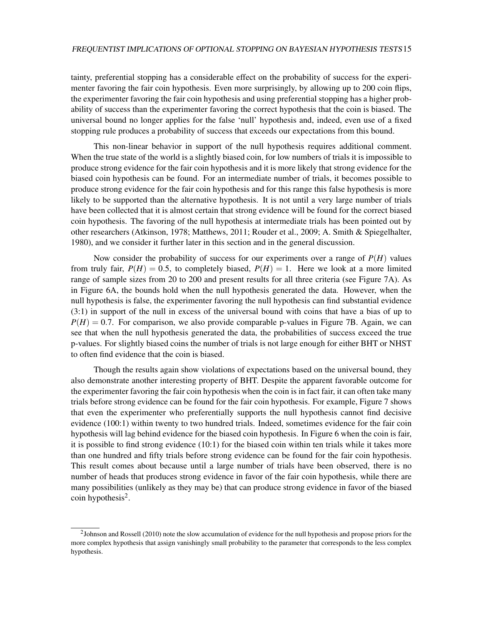tainty, preferential stopping has a considerable effect on the probability of success for the experimenter favoring the fair coin hypothesis. Even more surprisingly, by allowing up to 200 coin flips, the experimenter favoring the fair coin hypothesis and using preferential stopping has a higher probability of success than the experimenter favoring the correct hypothesis that the coin is biased. The universal bound no longer applies for the false 'null' hypothesis and, indeed, even use of a fixed stopping rule produces a probability of success that exceeds our expectations from this bound.

This non-linear behavior in support of the null hypothesis requires additional comment. When the true state of the world is a slightly biased coin, for low numbers of trials it is impossible to produce strong evidence for the fair coin hypothesis and it is more likely that strong evidence for the biased coin hypothesis can be found. For an intermediate number of trials, it becomes possible to produce strong evidence for the fair coin hypothesis and for this range this false hypothesis is more likely to be supported than the alternative hypothesis. It is not until a very large number of trials have been collected that it is almost certain that strong evidence will be found for the correct biased coin hypothesis. The favoring of the null hypothesis at intermediate trials has been pointed out by other researchers (Atkinson, 1978; Matthews, 2011; Rouder et al., 2009; A. Smith & Spiegelhalter, 1980), and we consider it further later in this section and in the general discussion.

Now consider the probability of success for our experiments over a range of *P*(*H*) values from truly fair,  $P(H) = 0.5$ , to completely biased,  $P(H) = 1$ . Here we look at a more limited range of sample sizes from 20 to 200 and present results for all three criteria (see Figure 7A). As in Figure 6A, the bounds hold when the null hypothesis generated the data. However, when the null hypothesis is false, the experimenter favoring the null hypothesis can find substantial evidence (3:1) in support of the null in excess of the universal bound with coins that have a bias of up to  $P(H) = 0.7$ . For comparison, we also provide comparable p-values in Figure 7B. Again, we can see that when the null hypothesis generated the data, the probabilities of success exceed the true p-values. For slightly biased coins the number of trials is not large enough for either BHT or NHST to often find evidence that the coin is biased.

Though the results again show violations of expectations based on the universal bound, they also demonstrate another interesting property of BHT. Despite the apparent favorable outcome for the experimenter favoring the fair coin hypothesis when the coin is in fact fair, it can often take many trials before strong evidence can be found for the fair coin hypothesis. For example, Figure 7 shows that even the experimenter who preferentially supports the null hypothesis cannot find decisive evidence (100:1) within twenty to two hundred trials. Indeed, sometimes evidence for the fair coin hypothesis will lag behind evidence for the biased coin hypothesis. In Figure 6 when the coin is fair, it is possible to find strong evidence (10:1) for the biased coin within ten trials while it takes more than one hundred and fifty trials before strong evidence can be found for the fair coin hypothesis. This result comes about because until a large number of trials have been observed, there is no number of heads that produces strong evidence in favor of the fair coin hypothesis, while there are many possibilities (unlikely as they may be) that can produce strong evidence in favor of the biased  $\frac{1}{2}$  coin hypothesis<sup>2</sup>.

<sup>&</sup>lt;sup>2</sup> Johnson and Rossell (2010) note the slow accumulation of evidence for the null hypothesis and propose priors for the more complex hypothesis that assign vanishingly small probability to the parameter that corresponds to the less complex hypothesis.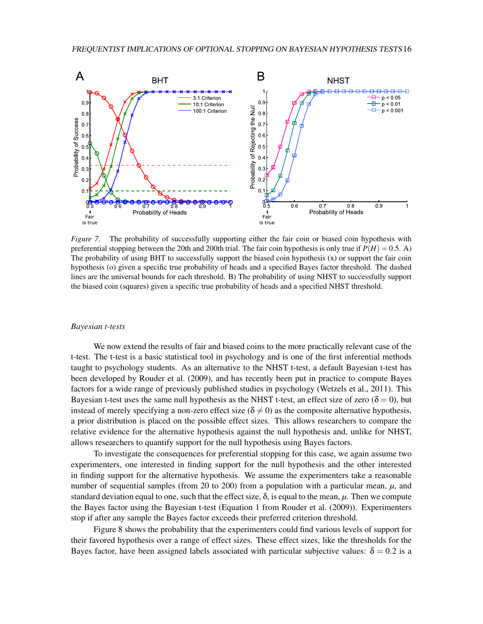

*Figure 7.* The probability of successfully supporting either the fair coin or biased coin hypothesis with preferential stopping between the 20th and 200th trial. The fair coin hypothesis is only true if  $P(H) = 0.5$ . A) The probability of using BHT to successfully support the biased coin hypothesis  $(x)$  or support the fair coin hypothesis (o) given a specific true probability of heads and a specified Bayes factor threshold. The dashed lines are the universal bounds for each threshold. B) The probability of using NHST to successfully support the biased coin (squares) given a specific true probability of heads and a specified NHST threshold.

#### *Bayesian t-tests*

We now extend the results of fair and biased coins to the more practically relevant case of the t-test. The t-test is a basic statistical tool in psychology and is one of the first inferential methods taught to psychology students. As an alternative to the NHST t-test, a default Bayesian t-test has been developed by Rouder et al. (2009), and has recently been put in practice to compute Bayes factors for a wide range of previously published studies in psychology (Wetzels et al., 2011). This Bayesian t-test uses the same null hypothesis as the NHST t-test, an effect size of zero ( $\delta = 0$ ), but instead of merely specifying a non-zero effect size ( $\delta \neq 0$ ) as the composite alternative hypothesis, a prior distribution is placed on the possible effect sizes. This allows researchers to compare the relative evidence for the alternative hypothesis against the null hypothesis and, unlike for NHST, allows researchers to quantify support for the null hypothesis using Bayes factors.

To investigate the consequences for preferential stopping for this case, we again assume two experimenters, one interested in finding support for the null hypothesis and the other interested in finding support for the alternative hypothesis. We assume the experimenters take a reasonable number of sequential samples (from 20 to 200) from a population with a particular mean,  $\mu$ , and standard deviation equal to one, such that the effect size,  $\delta$ , is equal to the mean,  $\mu$ . Then we compute the Bayes factor using the Bayesian t-test (Equation 1 from Rouder et al. (2009)). Experimenters stop if after any sample the Bayes factor exceeds their preferred criterion threshold.

Figure 8 shows the probability that the experimenters could find various levels of support for their favored hypothesis over a range of effect sizes. These effect sizes, like the thresholds for the Bayes factor, have been assigned labels associated with particular subjective values:  $\delta = 0.2$  is a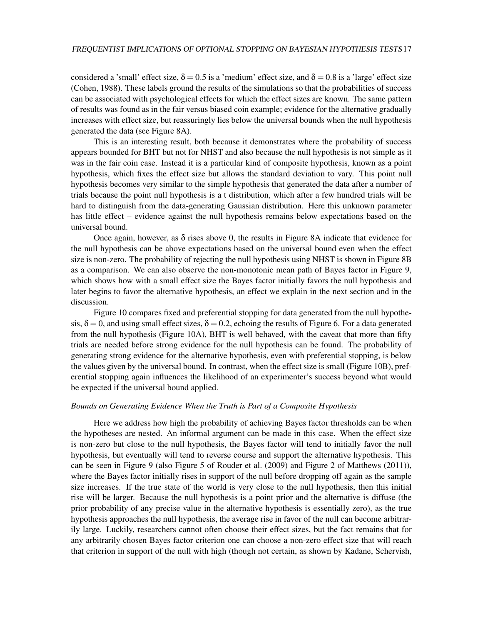considered a 'small' effect size,  $\delta = 0.5$  is a 'medium' effect size, and  $\delta = 0.8$  is a 'large' effect size (Cohen, 1988). These labels ground the results of the simulations so that the probabilities of success can be associated with psychological effects for which the effect sizes are known. The same pattern of results was found as in the fair versus biased coin example; evidence for the alternative gradually increases with effect size, but reassuringly lies below the universal bounds when the null hypothesis generated the data (see Figure 8A).

This is an interesting result, both because it demonstrates where the probability of success appears bounded for BHT but not for NHST and also because the null hypothesis is not simple as it was in the fair coin case. Instead it is a particular kind of composite hypothesis, known as a point hypothesis, which fixes the effect size but allows the standard deviation to vary. This point null hypothesis becomes very similar to the simple hypothesis that generated the data after a number of trials because the point null hypothesis is a t distribution, which after a few hundred trials will be hard to distinguish from the data-generating Gaussian distribution. Here this unknown parameter has little effect – evidence against the null hypothesis remains below expectations based on the universal bound.

Once again, however, as δ rises above 0, the results in Figure 8A indicate that evidence for the null hypothesis can be above expectations based on the universal bound even when the effect size is non-zero. The probability of rejecting the null hypothesis using NHST is shown in Figure 8B as a comparison. We can also observe the non-monotonic mean path of Bayes factor in Figure 9, which shows how with a small effect size the Bayes factor initially favors the null hypothesis and later begins to favor the alternative hypothesis, an effect we explain in the next section and in the discussion.

Figure 10 compares fixed and preferential stopping for data generated from the null hypothesis,  $\delta = 0$ , and using small effect sizes,  $\delta = 0.2$ , echoing the results of Figure 6. For a data generated from the null hypothesis (Figure 10A), BHT is well behaved, with the caveat that more than fifty trials are needed before strong evidence for the null hypothesis can be found. The probability of generating strong evidence for the alternative hypothesis, even with preferential stopping, is below the values given by the universal bound. In contrast, when the effect size is small (Figure 10B), preferential stopping again influences the likelihood of an experimenter's success beyond what would be expected if the universal bound applied.

# *Bounds on Generating Evidence When the Truth is Part of a Composite Hypothesis*

Here we address how high the probability of achieving Bayes factor thresholds can be when the hypotheses are nested. An informal argument can be made in this case. When the effect size is non-zero but close to the null hypothesis, the Bayes factor will tend to initially favor the null hypothesis, but eventually will tend to reverse course and support the alternative hypothesis. This can be seen in Figure 9 (also Figure 5 of Rouder et al. (2009) and Figure 2 of Matthews (2011)), where the Bayes factor initially rises in support of the null before dropping off again as the sample size increases. If the true state of the world is very close to the null hypothesis, then this initial rise will be larger. Because the null hypothesis is a point prior and the alternative is diffuse (the prior probability of any precise value in the alternative hypothesis is essentially zero), as the true hypothesis approaches the null hypothesis, the average rise in favor of the null can become arbitrarily large. Luckily, researchers cannot often choose their effect sizes, but the fact remains that for any arbitrarily chosen Bayes factor criterion one can choose a non-zero effect size that will reach that criterion in support of the null with high (though not certain, as shown by Kadane, Schervish,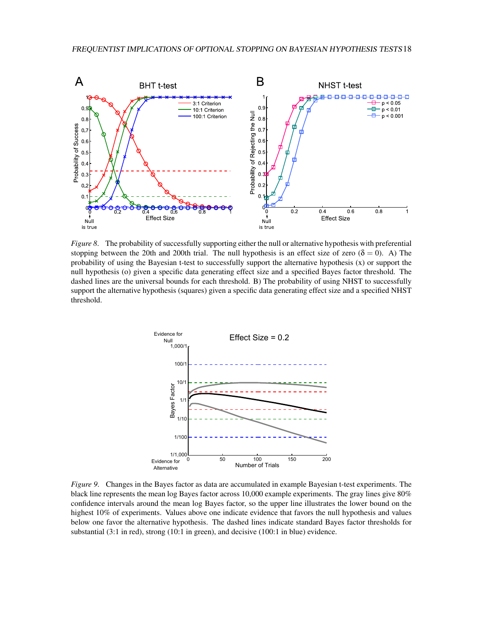

*Figure 8*. The probability of successfully supporting either the null or alternative hypothesis with preferential stopping between the 20th and 200th trial. The null hypothesis is an effect size of zero ( $\delta = 0$ ). A) The probability of using the Bayesian t-test to successfully support the alternative hypothesis (x) or support the null hypothesis (o) given a specific data generating effect size and a specified Bayes factor threshold. The dashed lines are the universal bounds for each threshold. B) The probability of using NHST to successfully support the alternative hypothesis (squares) given a specific data generating effect size and a specified NHST threshold.



*Figure 9*. Changes in the Bayes factor as data are accumulated in example Bayesian t-test experiments. The black line represents the mean log Bayes factor across 10,000 example experiments. The gray lines give 80% confidence intervals around the mean log Bayes factor, so the upper line illustrates the lower bound on the highest 10% of experiments. Values above one indicate evidence that favors the null hypothesis and values below one favor the alternative hypothesis. The dashed lines indicate standard Bayes factor thresholds for substantial (3:1 in red), strong (10:1 in green), and decisive (100:1 in blue) evidence.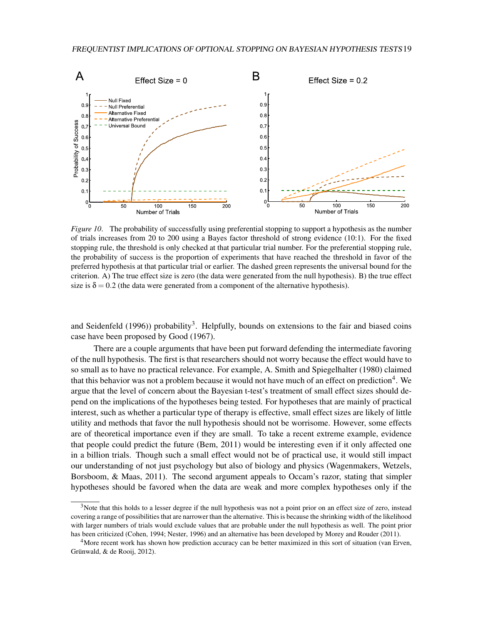

*Figure 10.* The probability of successfully using preferential stopping to support a hypothesis as the number of trials increases from 20 to 200 using a Bayes factor threshold of strong evidence (10:1). For the fixed stopping rule, the threshold is only checked at that particular trial number. For the preferential stopping rule, the probability of success is the proportion of experiments that have reached the threshold in favor of the preferred hypothesis at that particular trial or earlier. The dashed green represents the universal bound for the criterion. A) The true effect size is zero (the data were generated from the null hypothesis). B) the true effect size is  $\delta = 0.2$  (the data were generated from a component of the alternative hypothesis).

and Seidenfeld (1996)) probability<sup>3</sup>. Helpfully, bounds on extensions to the fair and biased coins case have been proposed by Good (1967).

There are a couple arguments that have been put forward defending the intermediate favoring of the null hypothesis. The first is that researchers should not worry because the effect would have to so small as to have no practical relevance. For example, A. Smith and Spiegelhalter (1980) claimed that this behavior was not a problem because it would not have much of an effect on prediction<sup>4</sup>. We argue that the level of concern about the Bayesian t-test's treatment of small effect sizes should depend on the implications of the hypotheses being tested. For hypotheses that are mainly of practical interest, such as whether a particular type of therapy is effective, small effect sizes are likely of little utility and methods that favor the null hypothesis should not be worrisome. However, some effects are of theoretical importance even if they are small. To take a recent extreme example, evidence that people could predict the future (Bem, 2011) would be interesting even if it only affected one in a billion trials. Though such a small effect would not be of practical use, it would still impact our understanding of not just psychology but also of biology and physics (Wagenmakers, Wetzels, Borsboom, & Maas, 2011). The second argument appeals to Occam's razor, stating that simpler hypotheses should be favored when the data are weak and more complex hypotheses only if the

 $3$ Note that this holds to a lesser degree if the null hypothesis was not a point prior on an effect size of zero, instead covering a range of possibilities that are narrower than the alternative. This is because the shrinking width of the likelihood with larger numbers of trials would exclude values that are probable under the null hypothesis as well. The point prior has been criticized (Cohen, 1994; Nester, 1996) and an alternative has been developed by Morey and Rouder (2011).

<sup>&</sup>lt;sup>4</sup>More recent work has shown how prediction accuracy can be better maximized in this sort of situation (van Erven, Grünwald,  $&$  de Rooij, 2012).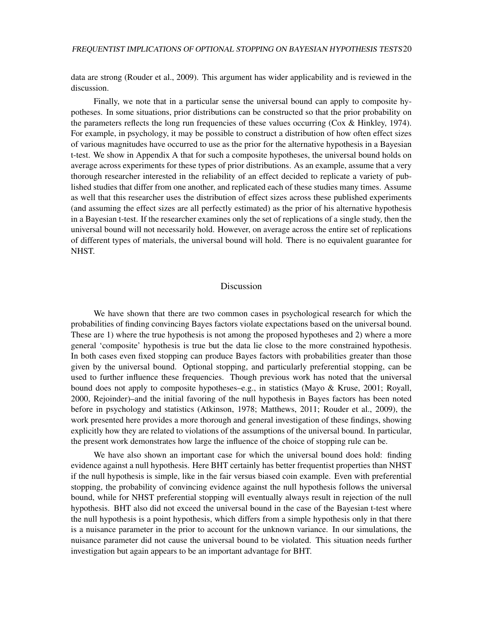data are strong (Rouder et al., 2009). This argument has wider applicability and is reviewed in the discussion.

Finally, we note that in a particular sense the universal bound can apply to composite hypotheses. In some situations, prior distributions can be constructed so that the prior probability on the parameters reflects the long run frequencies of these values occurring (Cox & Hinkley, 1974). For example, in psychology, it may be possible to construct a distribution of how often effect sizes of various magnitudes have occurred to use as the prior for the alternative hypothesis in a Bayesian t-test. We show in Appendix A that for such a composite hypotheses, the universal bound holds on average across experiments for these types of prior distributions. As an example, assume that a very thorough researcher interested in the reliability of an effect decided to replicate a variety of published studies that differ from one another, and replicated each of these studies many times. Assume as well that this researcher uses the distribution of effect sizes across these published experiments (and assuming the effect sizes are all perfectly estimated) as the prior of his alternative hypothesis in a Bayesian t-test. If the researcher examines only the set of replications of a single study, then the universal bound will not necessarily hold. However, on average across the entire set of replications of different types of materials, the universal bound will hold. There is no equivalent guarantee for NHST.

# Discussion

We have shown that there are two common cases in psychological research for which the probabilities of finding convincing Bayes factors violate expectations based on the universal bound. These are 1) where the true hypothesis is not among the proposed hypotheses and 2) where a more general 'composite' hypothesis is true but the data lie close to the more constrained hypothesis. In both cases even fixed stopping can produce Bayes factors with probabilities greater than those given by the universal bound. Optional stopping, and particularly preferential stopping, can be used to further influence these frequencies. Though previous work has noted that the universal bound does not apply to composite hypotheses–e.g., in statistics (Mayo & Kruse, 2001; Royall, 2000, Rejoinder)–and the initial favoring of the null hypothesis in Bayes factors has been noted before in psychology and statistics (Atkinson, 1978; Matthews, 2011; Rouder et al., 2009), the work presented here provides a more thorough and general investigation of these findings, showing explicitly how they are related to violations of the assumptions of the universal bound. In particular, the present work demonstrates how large the influence of the choice of stopping rule can be.

We have also shown an important case for which the universal bound does hold: finding evidence against a null hypothesis. Here BHT certainly has better frequentist properties than NHST if the null hypothesis is simple, like in the fair versus biased coin example. Even with preferential stopping, the probability of convincing evidence against the null hypothesis follows the universal bound, while for NHST preferential stopping will eventually always result in rejection of the null hypothesis. BHT also did not exceed the universal bound in the case of the Bayesian t-test where the null hypothesis is a point hypothesis, which differs from a simple hypothesis only in that there is a nuisance parameter in the prior to account for the unknown variance. In our simulations, the nuisance parameter did not cause the universal bound to be violated. This situation needs further investigation but again appears to be an important advantage for BHT.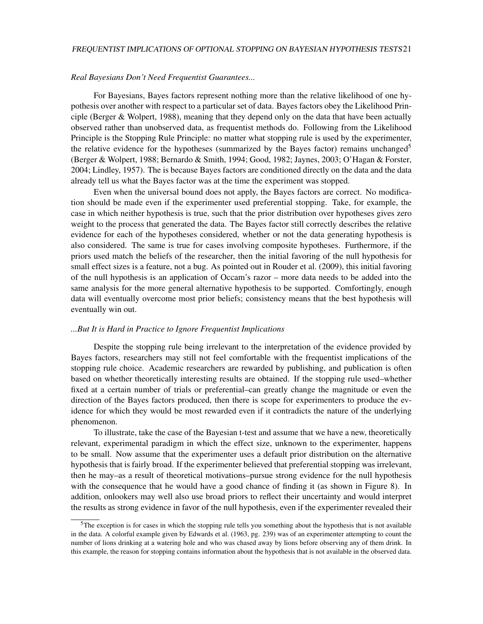# *Real Bayesians Don't Need Frequentist Guarantees...*

For Bayesians, Bayes factors represent nothing more than the relative likelihood of one hypothesis over another with respect to a particular set of data. Bayes factors obey the Likelihood Principle (Berger & Wolpert, 1988), meaning that they depend only on the data that have been actually observed rather than unobserved data, as frequentist methods do. Following from the Likelihood Principle is the Stopping Rule Principle: no matter what stopping rule is used by the experimenter, the relative evidence for the hypotheses (summarized by the Bayes factor) remains unchanged<sup>5</sup> (Berger & Wolpert, 1988; Bernardo & Smith, 1994; Good, 1982; Jaynes, 2003; O'Hagan & Forster, 2004; Lindley, 1957). The is because Bayes factors are conditioned directly on the data and the data already tell us what the Bayes factor was at the time the experiment was stopped.

Even when the universal bound does not apply, the Bayes factors are correct. No modification should be made even if the experimenter used preferential stopping. Take, for example, the case in which neither hypothesis is true, such that the prior distribution over hypotheses gives zero weight to the process that generated the data. The Bayes factor still correctly describes the relative evidence for each of the hypotheses considered, whether or not the data generating hypothesis is also considered. The same is true for cases involving composite hypotheses. Furthermore, if the priors used match the beliefs of the researcher, then the initial favoring of the null hypothesis for small effect sizes is a feature, not a bug. As pointed out in Rouder et al. (2009), this initial favoring of the null hypothesis is an application of Occam's razor – more data needs to be added into the same analysis for the more general alternative hypothesis to be supported. Comfortingly, enough data will eventually overcome most prior beliefs; consistency means that the best hypothesis will eventually win out.

### *...But It is Hard in Practice to Ignore Frequentist Implications*

Despite the stopping rule being irrelevant to the interpretation of the evidence provided by Bayes factors, researchers may still not feel comfortable with the frequentist implications of the stopping rule choice. Academic researchers are rewarded by publishing, and publication is often based on whether theoretically interesting results are obtained. If the stopping rule used–whether fixed at a certain number of trials or preferential–can greatly change the magnitude or even the direction of the Bayes factors produced, then there is scope for experimenters to produce the evidence for which they would be most rewarded even if it contradicts the nature of the underlying phenomenon.

To illustrate, take the case of the Bayesian t-test and assume that we have a new, theoretically relevant, experimental paradigm in which the effect size, unknown to the experimenter, happens to be small. Now assume that the experimenter uses a default prior distribution on the alternative hypothesis that is fairly broad. If the experimenter believed that preferential stopping was irrelevant, then he may–as a result of theoretical motivations–pursue strong evidence for the null hypothesis with the consequence that he would have a good chance of finding it (as shown in Figure 8). In addition, onlookers may well also use broad priors to reflect their uncertainty and would interpret the results as strong evidence in favor of the null hypothesis, even if the experimenter revealed their

 $5$ The exception is for cases in which the stopping rule tells you something about the hypothesis that is not available in the data. A colorful example given by Edwards et al. (1963, pg. 239) was of an experimenter attempting to count the number of lions drinking at a watering hole and who was chased away by lions before observing any of them drink. In this example, the reason for stopping contains information about the hypothesis that is not available in the observed data.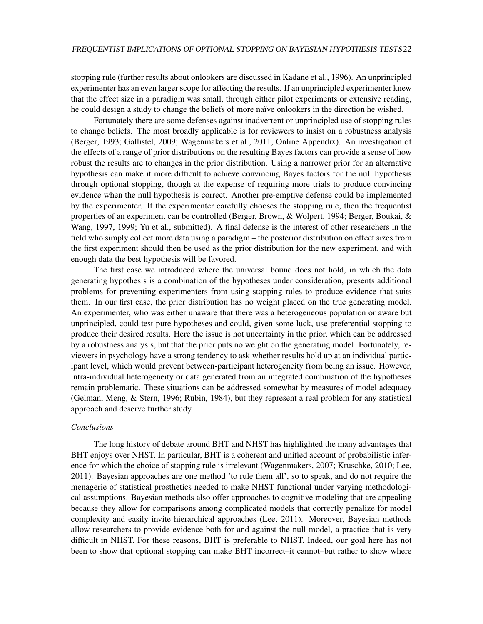stopping rule (further results about onlookers are discussed in Kadane et al., 1996). An unprincipled experimenter has an even larger scope for affecting the results. If an unprincipled experimenter knew that the effect size in a paradigm was small, through either pilot experiments or extensive reading, he could design a study to change the beliefs of more naïve onlookers in the direction he wished.

Fortunately there are some defenses against inadvertent or unprincipled use of stopping rules to change beliefs. The most broadly applicable is for reviewers to insist on a robustness analysis (Berger, 1993; Gallistel, 2009; Wagenmakers et al., 2011, Online Appendix). An investigation of the effects of a range of prior distributions on the resulting Bayes factors can provide a sense of how robust the results are to changes in the prior distribution. Using a narrower prior for an alternative hypothesis can make it more difficult to achieve convincing Bayes factors for the null hypothesis through optional stopping, though at the expense of requiring more trials to produce convincing evidence when the null hypothesis is correct. Another pre-emptive defense could be implemented by the experimenter. If the experimenter carefully chooses the stopping rule, then the frequentist properties of an experiment can be controlled (Berger, Brown, & Wolpert, 1994; Berger, Boukai, & Wang, 1997, 1999; Yu et al., submitted). A final defense is the interest of other researchers in the field who simply collect more data using a paradigm – the posterior distribution on effect sizes from the first experiment should then be used as the prior distribution for the new experiment, and with enough data the best hypothesis will be favored.

The first case we introduced where the universal bound does not hold, in which the data generating hypothesis is a combination of the hypotheses under consideration, presents additional problems for preventing experimenters from using stopping rules to produce evidence that suits them. In our first case, the prior distribution has no weight placed on the true generating model. An experimenter, who was either unaware that there was a heterogeneous population or aware but unprincipled, could test pure hypotheses and could, given some luck, use preferential stopping to produce their desired results. Here the issue is not uncertainty in the prior, which can be addressed by a robustness analysis, but that the prior puts no weight on the generating model. Fortunately, reviewers in psychology have a strong tendency to ask whether results hold up at an individual participant level, which would prevent between-participant heterogeneity from being an issue. However, intra-individual heterogeneity or data generated from an integrated combination of the hypotheses remain problematic. These situations can be addressed somewhat by measures of model adequacy (Gelman, Meng, & Stern, 1996; Rubin, 1984), but they represent a real problem for any statistical approach and deserve further study.

### *Conclusions*

The long history of debate around BHT and NHST has highlighted the many advantages that BHT enjoys over NHST. In particular, BHT is a coherent and unified account of probabilistic inference for which the choice of stopping rule is irrelevant (Wagenmakers, 2007; Kruschke, 2010; Lee, 2011). Bayesian approaches are one method 'to rule them all', so to speak, and do not require the menagerie of statistical prosthetics needed to make NHST functional under varying methodological assumptions. Bayesian methods also offer approaches to cognitive modeling that are appealing because they allow for comparisons among complicated models that correctly penalize for model complexity and easily invite hierarchical approaches (Lee, 2011). Moreover, Bayesian methods allow researchers to provide evidence both for and against the null model, a practice that is very difficult in NHST. For these reasons, BHT is preferable to NHST. Indeed, our goal here has not been to show that optional stopping can make BHT incorrect–it cannot–but rather to show where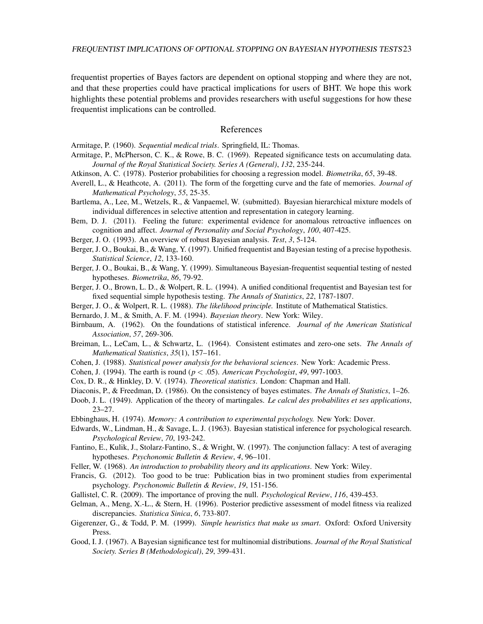frequentist properties of Bayes factors are dependent on optional stopping and where they are not, and that these properties could have practical implications for users of BHT. We hope this work highlights these potential problems and provides researchers with useful suggestions for how these frequentist implications can be controlled.

# References

Armitage, P. (1960). *Sequential medical trials*. Springfield, IL: Thomas.

- Armitage, P., McPherson, C. K., & Rowe, B. C. (1969). Repeated significance tests on accumulating data. *Journal of the Royal Statistical Society. Series A (General)*, *132*, 235-244.
- Atkinson, A. C. (1978). Posterior probabilities for choosing a regression model. *Biometrika*, *65*, 39-48.
- Averell, L., & Heathcote, A. (2011). The form of the forgetting curve and the fate of memories. *Journal of Mathematical Psychology*, *55*, 25-35.
- Bartlema, A., Lee, M., Wetzels, R., & Vanpaemel, W. (submitted). Bayesian hierarchical mixture models of individual differences in selective attention and representation in category learning.
- Bem, D. J. (2011). Feeling the future: experimental evidence for anomalous retroactive influences on cognition and affect. *Journal of Personality and Social Psychology*, *100*, 407-425.
- Berger, J. O. (1993). An overview of robust Bayesian analysis. *Test*, *3*, 5-124.
- Berger, J. O., Boukai, B., & Wang, Y. (1997). Unified frequentist and Bayesian testing of a precise hypothesis. *Statistical Science*, *12*, 133-160.
- Berger, J. O., Boukai, B., & Wang, Y. (1999). Simultaneous Bayesian-frequentist sequential testing of nested hypotheses. *Biometrika*, *86*, 79-92.
- Berger, J. O., Brown, L. D., & Wolpert, R. L. (1994). A unified conditional frequentist and Bayesian test for fixed sequential simple hypothesis testing. *The Annals of Statistics*, *22*, 1787-1807.
- Berger, J. O., & Wolpert, R. L. (1988). *The likelihood principle.* Institute of Mathematical Statistics.

Bernardo, J. M., & Smith, A. F. M. (1994). *Bayesian theory*. New York: Wiley.

- Birnbaum, A. (1962). On the foundations of statistical inference. *Journal of the American Statistical Association*, *57*, 269-306.
- Breiman, L., LeCam, L., & Schwartz, L. (1964). Consistent estimates and zero-one sets. *The Annals of Mathematical Statistics*, *35*(1), 157–161.
- Cohen, J. (1988). *Statistical power analysis for the behavioral sciences*. New York: Academic Press.
- Cohen, J. (1994). The earth is round ( $p < .05$ ). *American Psychologist*, 49, 997-1003.
- Cox, D. R., & Hinkley, D. V. (1974). *Theoretical statistics*. London: Chapman and Hall.
- Diaconis, P., & Freedman, D. (1986). On the consistency of bayes estimates. *The Annals of Statistics*, 1–26.
- Doob, J. L. (1949). Application of the theory of martingales. *Le calcul des probabilites et ses applications*, 23–27.
- Ebbinghaus, H. (1974). *Memory: A contribution to experimental psychology.* New York: Dover.
- Edwards, W., Lindman, H., & Savage, L. J. (1963). Bayesian statistical inference for psychological research. *Psychological Review*, *70*, 193-242.
- Fantino, E., Kulik, J., Stolarz-Fantino, S., & Wright, W. (1997). The conjunction fallacy: A test of averaging hypotheses. *Psychonomic Bulletin & Review*, *4*, 96–101.
- Feller, W. (1968). *An introduction to probability theory and its applications*. New York: Wiley.
- Francis, G. (2012). Too good to be true: Publication bias in two prominent studies from experimental psychology. *Psychonomic Bulletin & Review*, *19*, 151-156.
- Gallistel, C. R. (2009). The importance of proving the null. *Psychological Review*, *116*, 439-453.
- Gelman, A., Meng, X.-L., & Stern, H. (1996). Posterior predictive assessment of model fitness via realized discrepancies. *Statistica Sinica*, *6*, 733-807.
- Gigerenzer, G., & Todd, P. M. (1999). *Simple heuristics that make us smart*. Oxford: Oxford University Press.
- Good, I. J. (1967). A Bayesian significance test for multinomial distributions. *Journal of the Royal Statistical Society. Series B (Methodological)*, *29*, 399-431.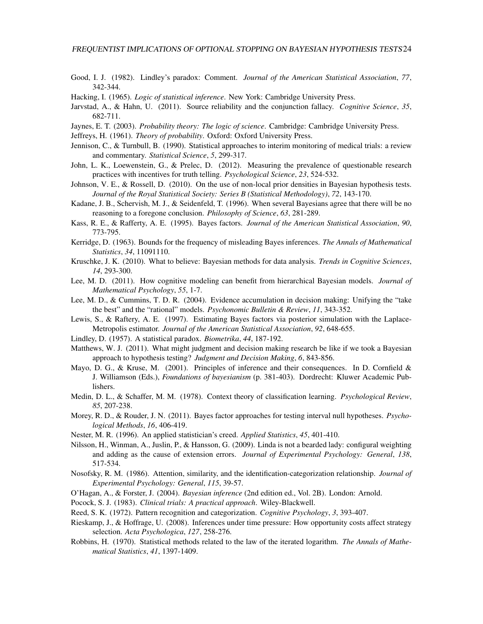- Good, I. J. (1982). Lindley's paradox: Comment. *Journal of the American Statistical Association*, *77*, 342-344.
- Hacking, I. (1965). *Logic of statistical inference*. New York: Cambridge University Press.
- Jarvstad, A., & Hahn, U. (2011). Source reliability and the conjunction fallacy. *Cognitive Science*, *35*, 682-711.
- Jaynes, E. T. (2003). *Probability theory: The logic of science*. Cambridge: Cambridge University Press.
- Jeffreys, H. (1961). *Theory of probability*. Oxford: Oxford University Press.
- Jennison, C., & Turnbull, B. (1990). Statistical approaches to interim monitoring of medical trials: a review and commentary. *Statistical Science*, *5*, 299-317.
- John, L. K., Loewenstein, G., & Prelec, D. (2012). Measuring the prevalence of questionable research practices with incentives for truth telling. *Psychological Science*, *23*, 524-532.
- Johnson, V. E., & Rossell, D. (2010). On the use of non-local prior densities in Bayesian hypothesis tests. *Journal of the Royal Statistical Society: Series B (Statistical Methodology)*, *72*, 143-170.
- Kadane, J. B., Schervish, M. J., & Seidenfeld, T. (1996). When several Bayesians agree that there will be no reasoning to a foregone conclusion. *Philosophy of Science*, *63*, 281-289.
- Kass, R. E., & Rafferty, A. E. (1995). Bayes factors. *Journal of the American Statistical Association*, *90*, 773-795.
- Kerridge, D. (1963). Bounds for the frequency of misleading Bayes inferences. *The Annals of Mathematical Statistics*, *34*, 11091110.
- Kruschke, J. K. (2010). What to believe: Bayesian methods for data analysis. *Trends in Cognitive Sciences*, *14*, 293-300.
- Lee, M. D. (2011). How cognitive modeling can benefit from hierarchical Bayesian models. *Journal of Mathematical Psychology*, *55*, 1-7.
- Lee, M. D., & Cummins, T. D. R. (2004). Evidence accumulation in decision making: Unifying the "take the best" and the "rational" models. *Psychonomic Bulletin & Review*, *11*, 343-352.
- Lewis, S., & Raftery, A. E. (1997). Estimating Bayes factors via posterior simulation with the Laplace-Metropolis estimator. *Journal of the American Statistical Association*, *92*, 648-655.
- Lindley, D. (1957). A statistical paradox. *Biometrika*, *44*, 187-192.
- Matthews, W. J. (2011). What might judgment and decision making research be like if we took a Bayesian approach to hypothesis testing? *Judgment and Decision Making*, *6*, 843-856.
- Mayo, D. G., & Kruse, M. (2001). Principles of inference and their consequences. In D. Cornfield & J. Williamson (Eds.), *Foundations of bayesianism* (p. 381-403). Dordrecht: Kluwer Academic Publishers.
- Medin, D. L., & Schaffer, M. M. (1978). Context theory of classification learning. *Psychological Review*, *85*, 207-238.
- Morey, R. D., & Rouder, J. N. (2011). Bayes factor approaches for testing interval null hypotheses. *Psychological Methods*, *16*, 406-419.
- Nester, M. R. (1996). An applied statistician's creed. *Applied Statistics*, *45*, 401-410.
- Nilsson, H., Winman, A., Juslin, P., & Hansson, G. (2009). Linda is not a bearded lady: configural weighting and adding as the cause of extension errors. *Journal of Experimental Psychology: General*, *138*, 517-534.
- Nosofsky, R. M. (1986). Attention, similarity, and the identification-categorization relationship. *Journal of Experimental Psychology: General*, *115*, 39-57.
- O'Hagan, A., & Forster, J. (2004). *Bayesian inference* (2nd edition ed., Vol. 2B). London: Arnold.
- Pocock, S. J. (1983). *Clinical trials: A practical approach*. Wiley-Blackwell.
- Reed, S. K. (1972). Pattern recognition and categorization. *Cognitive Psychology*, *3*, 393-407.
- Rieskamp, J., & Hoffrage, U. (2008). Inferences under time pressure: How opportunity costs affect strategy selection. *Acta Psychologica*, *127*, 258-276.
- Robbins, H. (1970). Statistical methods related to the law of the iterated logarithm. *The Annals of Mathematical Statistics*, *41*, 1397-1409.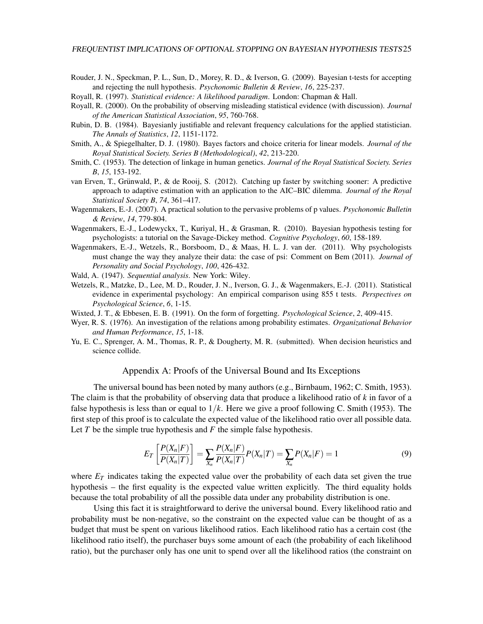- Rouder, J. N., Speckman, P. L., Sun, D., Morey, R. D., & Iverson, G. (2009). Bayesian t-tests for accepting and rejecting the null hypothesis. *Psychonomic Bulletin & Review*, *16*, 225-237.
- Royall, R. (1997). *Statistical evidence: A likelihood paradigm*. London: Chapman & Hall.
- Royall, R. (2000). On the probability of observing misleading statistical evidence (with discussion). *Journal of the American Statistical Association*, *95*, 760-768.
- Rubin, D. B. (1984). Bayesianly justifiable and relevant frequency calculations for the applied statistician. *The Annals of Statistics*, *12*, 1151-1172.
- Smith, A., & Spiegelhalter, D. J. (1980). Bayes factors and choice criteria for linear models. *Journal of the Royal Statistical Society. Series B (Methodological)*, *42*, 213-220.
- Smith, C. (1953). The detection of linkage in human genetics. *Journal of the Royal Statistical Society. Series B*, *15*, 153-192.
- van Erven, T., Grünwald, P., & de Rooij, S. (2012). Catching up faster by switching sooner: A predictive approach to adaptive estimation with an application to the AIC–BIC dilemma. *Journal of the Royal Statistical Society B*, *74*, 361–417.
- Wagenmakers, E.-J. (2007). A practical solution to the pervasive problems of p values. *Psychonomic Bulletin & Review*, *14*, 779-804.
- Wagenmakers, E.-J., Lodewyckx, T., Kuriyal, H., & Grasman, R. (2010). Bayesian hypothesis testing for psychologists: a tutorial on the Savage-Dickey method. *Cognitive Psychology*, *60*, 158-189.
- Wagenmakers, E.-J., Wetzels, R., Borsboom, D., & Maas, H. L. J. van der. (2011). Why psychologists must change the way they analyze their data: the case of psi: Comment on Bem (2011). *Journal of Personality and Social Psychology*, *100*, 426-432.

Wald, A. (1947). *Sequential analysis*. New York: Wiley.

- Wetzels, R., Matzke, D., Lee, M. D., Rouder, J. N., Iverson, G. J., & Wagenmakers, E.-J. (2011). Statistical evidence in experimental psychology: An empirical comparison using 855 t tests. *Perspectives on Psychological Science*, *6*, 1-15.
- Wixted, J. T., & Ebbesen, E. B. (1991). On the form of forgetting. *Psychological Science*, *2*, 409-415.
- Wyer, R. S. (1976). An investigation of the relations among probability estimates. *Organizational Behavior and Human Performance*, *15*, 1-18.
- Yu, E. C., Sprenger, A. M., Thomas, R. P., & Dougherty, M. R. (submitted). When decision heuristics and science collide.

### Appendix A: Proofs of the Universal Bound and Its Exceptions

The universal bound has been noted by many authors (e.g., Birnbaum, 1962; C. Smith, 1953). The claim is that the probability of observing data that produce a likelihood ratio of *k* in favor of a false hypothesis is less than or equal to  $1/k$ . Here we give a proof following C. Smith (1953). The first step of this proof is to calculate the expected value of the likelihood ratio over all possible data. Let *T* be the simple true hypothesis and *F* the simple false hypothesis.

$$
E_T\left[\frac{P(X_n|F)}{P(X_n|T)}\right] = \sum_{X_n} \frac{P(X_n|F)}{P(X_n|T)} P(X_n|T) = \sum_{X_n} P(X_n|F) = 1
$$
\n(9)

where  $E_T$  indicates taking the expected value over the probability of each data set given the true hypothesis – the first equality is the expected value written explicitly. The third equality holds because the total probability of all the possible data under any probability distribution is one.

Using this fact it is straightforward to derive the universal bound. Every likelihood ratio and probability must be non-negative, so the constraint on the expected value can be thought of as a budget that must be spent on various likelihood ratios. Each likelihood ratio has a certain cost (the likelihood ratio itself), the purchaser buys some amount of each (the probability of each likelihood ratio), but the purchaser only has one unit to spend over all the likelihood ratios (the constraint on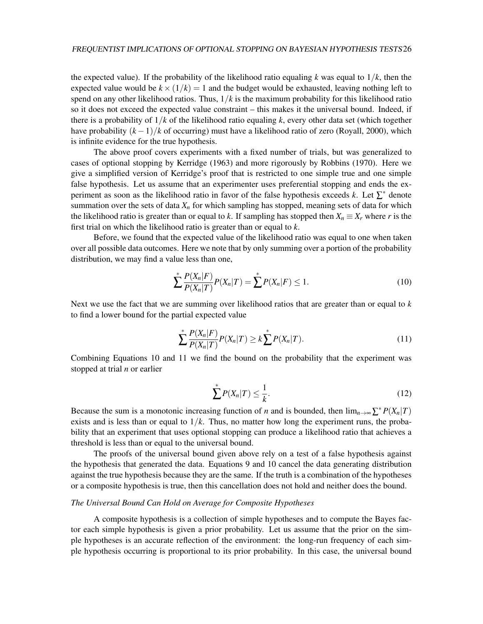the expected value). If the probability of the likelihood ratio equaling  $k$  was equal to  $1/k$ , then the expected value would be  $k \times (1/k) = 1$  and the budget would be exhausted, leaving nothing left to spend on any other likelihood ratios. Thus,  $1/k$  is the maximum probability for this likelihood ratio so it does not exceed the expected value constraint – this makes it the universal bound. Indeed, if there is a probability of  $1/k$  of the likelihood ratio equaling  $k$ , every other data set (which together have probability  $(k-1)/k$  of occurring) must have a likelihood ratio of zero (Royall, 2000), which is infinite evidence for the true hypothesis.

The above proof covers experiments with a fixed number of trials, but was generalized to cases of optional stopping by Kerridge (1963) and more rigorously by Robbins (1970). Here we give a simplified version of Kerridge's proof that is restricted to one simple true and one simple false hypothesis. Let us assume that an experimenter uses preferential stopping and ends the experiment as soon as the likelihood ratio in favor of the false hypothesis exceeds  $k$ . Let  $\sum^*$  denote summation over the sets of data  $X_n$  for which sampling has stopped, meaning sets of data for which the likelihood ratio is greater than or equal to *k*. If sampling has stopped then  $X_n \equiv X_r$  where *r* is the first trial on which the likelihood ratio is greater than or equal to *k*.

Before, we found that the expected value of the likelihood ratio was equal to one when taken over all possible data outcomes. Here we note that by only summing over a portion of the probability distribution, we may find a value less than one,

$$
\sum_{n=1}^{k} \frac{P(X_n|F)}{P(X_n|T)} P(X_n|T) = \sum_{n=1}^{k} P(X_n|F) \le 1.
$$
\n(10)

Next we use the fact that we are summing over likelihood ratios that are greater than or equal to *k* to find a lower bound for the partial expected value

$$
\sum_{n=1}^{k} \frac{P(X_n|F)}{P(X_n|T)} P(X_n|T) \ge k \sum_{n=1}^{k} P(X_n|T).
$$
\n(11)

Combining Equations 10 and 11 we find the bound on the probability that the experiment was stopped at trial *n* or earlier

$$
\sum_{k=1}^{k} P(X_n|T) \leq \frac{1}{k}.\tag{12}
$$

Because the sum is a monotonic increasing function of *n* and is bounded, then  $\lim_{n\to\infty} \sum^* P(X_n|T)$ exists and is less than or equal to  $1/k$ . Thus, no matter how long the experiment runs, the probability that an experiment that uses optional stopping can produce a likelihood ratio that achieves a threshold is less than or equal to the universal bound.

The proofs of the universal bound given above rely on a test of a false hypothesis against the hypothesis that generated the data. Equations 9 and 10 cancel the data generating distribution against the true hypothesis because they are the same. If the truth is a combination of the hypotheses or a composite hypothesis is true, then this cancellation does not hold and neither does the bound.

## *The Universal Bound Can Hold on Average for Composite Hypotheses*

A composite hypothesis is a collection of simple hypotheses and to compute the Bayes factor each simple hypothesis is given a prior probability. Let us assume that the prior on the simple hypotheses is an accurate reflection of the environment: the long-run frequency of each simple hypothesis occurring is proportional to its prior probability. In this case, the universal bound